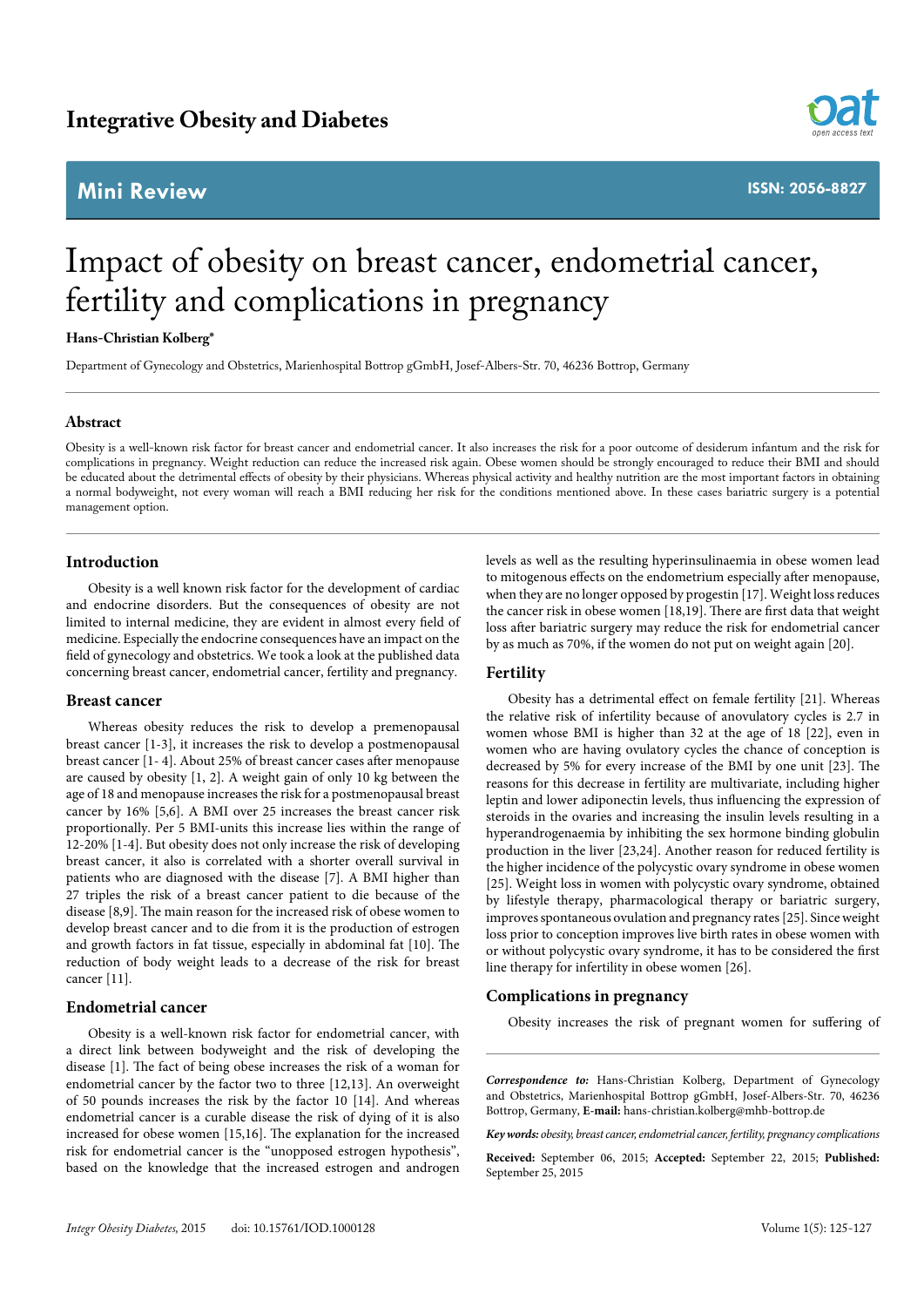# **Mini Review**



**ISSN: 2056-8827**

# Impact of obesity on breast cancer, endometrial cancer, fertility and complications in pregnancy

**Hans-Christian Kolberg\***

Department of Gynecology and Obstetrics, Marienhospital Bottrop gGmbH, Josef-Albers-Str. 70, 46236 Bottrop, Germany

#### **Abstract**

Obesity is a well-known risk factor for breast cancer and endometrial cancer. It also increases the risk for a poor outcome of desiderum infantum and the risk for complications in pregnancy. Weight reduction can reduce the increased risk again. Obese women should be strongly encouraged to reduce their BMI and should be educated about the detrimental effects of obesity by their physicians. Whereas physical activity and healthy nutrition are the most important factors in obtaining a normal bodyweight, not every woman will reach a BMI reducing her risk for the conditions mentioned above. In these cases bariatric surgery is a potential management option.

### **Introduction**

Obesity is a well known risk factor for the development of cardiac and endocrine disorders. But the consequences of obesity are not limited to internal medicine, they are evident in almost every field of medicine. Especially the endocrine consequences have an impact on the field of gynecology and obstetrics. We took a look at the published data concerning breast cancer, endometrial cancer, fertility and pregnancy.

#### **Breast cancer**

Whereas obesity reduces the risk to develop a premenopausal breast cancer [1-3], it increases the risk to develop a postmenopausal breast cancer [1- 4]. About 25% of breast cancer cases after menopause are caused by obesity [1, 2]. A weight gain of only 10 kg between the age of 18 and menopause increases the risk for a postmenopausal breast cancer by 16% [5,6]. A BMI over 25 increases the breast cancer risk proportionally. Per 5 BMI-units this increase lies within the range of 12-20% [1-4]. But obesity does not only increase the risk of developing breast cancer, it also is correlated with a shorter overall survival in patients who are diagnosed with the disease [7]. A BMI higher than 27 triples the risk of a breast cancer patient to die because of the disease [8,9]. The main reason for the increased risk of obese women to develop breast cancer and to die from it is the production of estrogen and growth factors in fat tissue, especially in abdominal fat [10]. The reduction of body weight leads to a decrease of the risk for breast cancer [11].

#### **Endometrial cancer**

Obesity is a well-known risk factor for endometrial cancer, with a direct link between bodyweight and the risk of developing the disease [1]. The fact of being obese increases the risk of a woman for endometrial cancer by the factor two to three [12,13]. An overweight of 50 pounds increases the risk by the factor 10 [14]. And whereas endometrial cancer is a curable disease the risk of dying of it is also increased for obese women [15,16]. The explanation for the increased risk for endometrial cancer is the "unopposed estrogen hypothesis", based on the knowledge that the increased estrogen and androgen

levels as well as the resulting hyperinsulinaemia in obese women lead to mitogenous effects on the endometrium especially after menopause, when they are no longer opposed by progestin [17]. Weight loss reduces the cancer risk in obese women [18,19]. There are first data that weight loss after bariatric surgery may reduce the risk for endometrial cancer by as much as 70%, if the women do not put on weight again [20].

## **Fertility**

Obesity has a detrimental effect on female fertility [21]. Whereas the relative risk of infertility because of anovulatory cycles is 2.7 in women whose BMI is higher than 32 at the age of 18 [22], even in women who are having ovulatory cycles the chance of conception is decreased by 5% for every increase of the BMI by one unit [23]. The reasons for this decrease in fertility are multivariate, including higher leptin and lower adiponectin levels, thus influencing the expression of steroids in the ovaries and increasing the insulin levels resulting in a hyperandrogenaemia by inhibiting the sex hormone binding globulin production in the liver [23,24]. Another reason for reduced fertility is the higher incidence of the polycystic ovary syndrome in obese women [25]. Weight loss in women with polycystic ovary syndrome, obtained by lifestyle therapy, pharmacological therapy or bariatric surgery, improves spontaneous ovulation and pregnancy rates [25]. Since weight loss prior to conception improves live birth rates in obese women with or without polycystic ovary syndrome, it has to be considered the first line therapy for infertility in obese women [26].

#### **Complications in pregnancy**

Obesity increases the risk of pregnant women for suffering of

*Correspondence to:* Hans-Christian Kolberg, Department of Gynecology and Obstetrics, Marienhospital Bottrop gGmbH, Josef-Albers-Str. 70, 46236 Bottrop, Germany, **E-mail:** hans-christian.kolberg@mhb-bottrop.de

*Key words: obesity, breast cancer, endometrial cancer, fertility, pregnancy complications*

**Received:** September 06, 2015; **Accepted:** September 22, 2015; **Published:**  September 25, 2015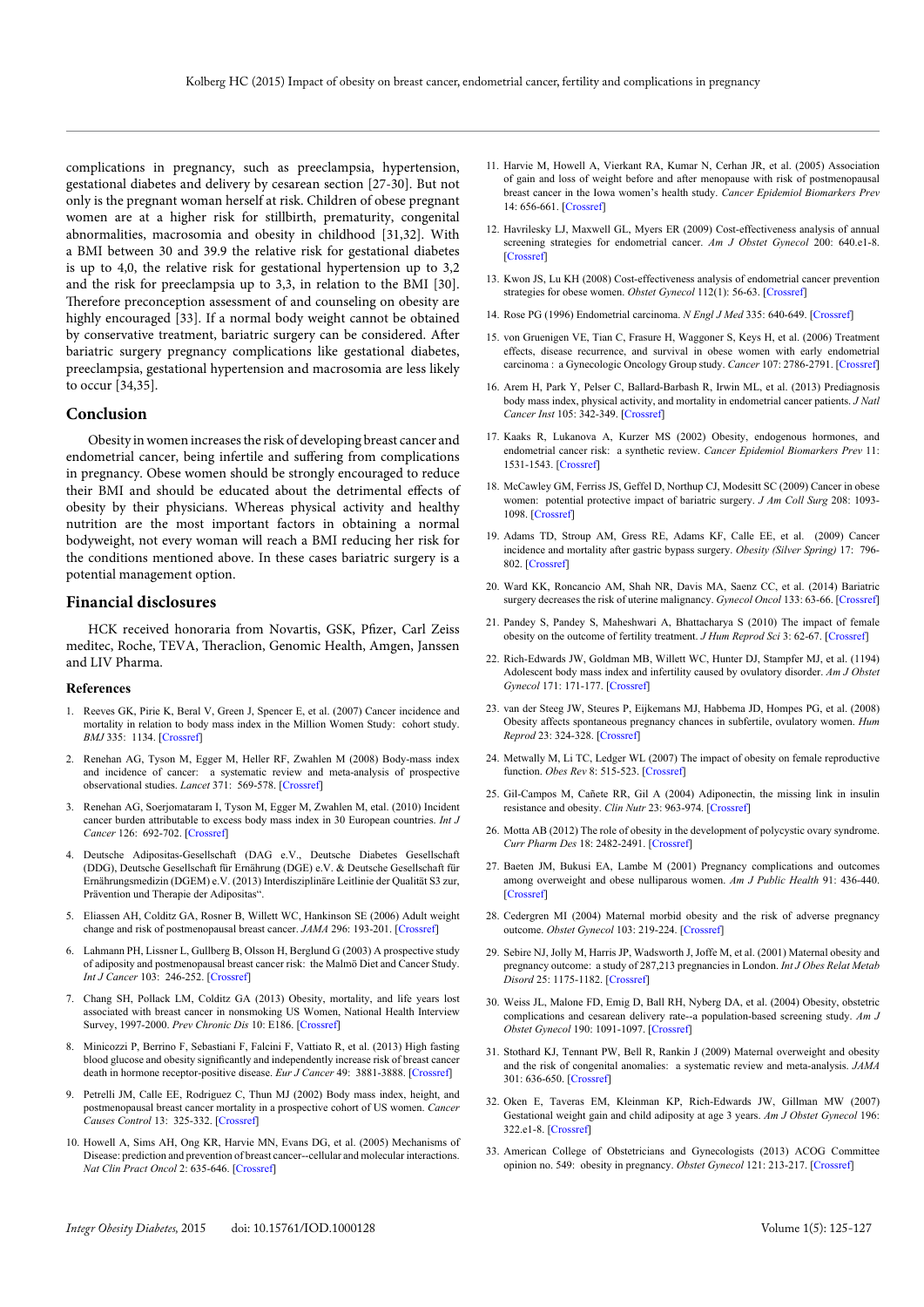complications in pregnancy, such as preeclampsia, hypertension, gestational diabetes and delivery by cesarean section [27-30]. But not only is the pregnant woman herself at risk. Children of obese pregnant women are at a higher risk for stillbirth, prematurity, congenital abnormalities, macrosomia and obesity in childhood [31,32]. With a BMI between 30 and 39.9 the relative risk for gestational diabetes is up to 4,0, the relative risk for gestational hypertension up to 3,2 and the risk for preeclampsia up to 3,3, in relation to the BMI [30]. Therefore preconception assessment of and counseling on obesity are highly encouraged [33]. If a normal body weight cannot be obtained by conservative treatment, bariatric surgery can be considered. After bariatric surgery pregnancy complications like gestational diabetes, preeclampsia, gestational hypertension and macrosomia are less likely to occur [34,35].

#### **Conclusion**

Obesity in women increases the risk of developing breast cancer and endometrial cancer, being infertile and suffering from complications in pregnancy. Obese women should be strongly encouraged to reduce their BMI and should be educated about the detrimental effects of obesity by their physicians. Whereas physical activity and healthy nutrition are the most important factors in obtaining a normal bodyweight, not every woman will reach a BMI reducing her risk for the conditions mentioned above. In these cases bariatric surgery is a potential management option.

#### **Financial disclosures**

HCK received honoraria from Novartis, GSK, Pfizer, Carl Zeiss meditec, Roche, TEVA, Theraclion, Genomic Health, Amgen, Janssen and LIV Pharma.

#### **References**

- 1. Reeves GK, Pirie K, Beral V, Green J, Spencer E, et al. (2007) Cancer incidence and mortality in relation to body mass index in the Million Women Study: cohort study. *BMJ* 335: 1134. [[Crossref](http://www.ncbi.nlm.nih.gov/pubmed/17986716)]
- 2. Renehan AG, Tyson M, Egger M, Heller RF, Zwahlen M (2008) Body-mass index and incidence of cancer: a systematic review and meta-analysis of prospective observational studies. *Lancet* 371: 569-578. [\[Crossref\]](http://www.ncbi.nlm.nih.gov/pubmed/18280327)
- 3. Renehan AG, Soerjomataram I, Tyson M, Egger M, Zwahlen M, etal. (2010) Incident cancer burden attributable to excess body mass index in 30 European countries. *Int J Cancer* 126: 692-702. [\[Crossref](http://www.ncbi.nlm.nih.gov/pubmed/19645011)]
- 4. Deutsche Adipositas-Gesellschaft (DAG e.V., Deutsche Diabetes Gesellschaft (DDG), Deutsche Gesellschaft für Ernährung (DGE) e.V. & Deutsche Gesellschaft für Ernährungsmedizin (DGEM) e.V. (2013) Interdisziplinäre Leitlinie der Qualität S3 zur, Prävention und Therapie der Adipositas".
- 5. Eliassen AH, Colditz GA, Rosner B, Willett WC, Hankinson SE (2006) Adult weight change and risk of postmenopausal breast cancer. *JAMA* 296: 193-201. [[Crossref\]](http://www.ncbi.nlm.nih.gov/pubmed/16835425)
- Lahmann PH, Lissner L, Gullberg B, Olsson H, Berglund G (2003) A prospective study of adiposity and postmenopausal breast cancer risk: the Malmö Diet and Cancer Study. *Int J Cancer* 103: 246-252. [[Crossref](http://www.ncbi.nlm.nih.gov/pubmed/12455040)]
- 7. Chang SH, Pollack LM, Colditz GA (2013) Obesity, mortality, and life years lost associated with breast cancer in nonsmoking US Women, National Health Interview Survey, 1997-2000. *Prev Chronic Dis* 10: E186. [\[Crossref](http://www.ncbi.nlm.nih.gov/pubmed/24229569)]
- 8. Minicozzi P, Berrino F, Sebastiani F, Falcini F, Vattiato R, et al. (2013) High fasting blood glucose and obesity significantly and independently increase risk of breast cancer death in hormone receptor-positive disease. *Eur J Cancer* 49: 3881-3888. [[Crossref](http://www.ncbi.nlm.nih.gov/pubmed/24011933)]
- 9. Petrelli JM, Calle EE, Rodriguez C, Thun MJ (2002) Body mass index, height, and postmenopausal breast cancer mortality in a prospective cohort of US women. *Cancer Causes Control* 13: 325-332. [[Crossref\]](http://www.ncbi.nlm.nih.gov/pubmed/12074502)
- 10. Howell A, Sims AH, Ong KR, Harvie MN, Evans DG, et al. (2005) Mechanisms of Disease: prediction and prevention of breast cancer--cellular and molecular interactions. *Nat Clin Pract Oncol* 2: 635-646. [\[Crossref\]](http://www.ncbi.nlm.nih.gov/pubmed/16341119)
- 11. Harvie M, Howell A, Vierkant RA, Kumar N, Cerhan JR, et al. (2005) Association of gain and loss of weight before and after menopause with risk of postmenopausal breast cancer in the Iowa women's health study. *Cancer Epidemiol Biomarkers Prev* 14: 656-661. [\[Crossref](http://www.ncbi.nlm.nih.gov/pubmed/15767346)]
- 12. Havrilesky LJ, Maxwell GL, Myers ER (2009) Cost-effectiveness analysis of annual screening strategies for endometrial cancer. *Am J Obstet Gynecol* 200: 640.e1-8. [[Crossref\]](http://www.ncbi.nlm.nih.gov/pubmed/19380121)
- 13. Kwon JS, Lu KH (2008) Cost-effectiveness analysis of endometrial cancer prevention strategies for obese women. *Obstet Gynecol* 112(1): 56-63. [\[Crossref\]](http://www.ncbi.nlm.nih.gov/pubmed/18591308)
- 14. Rose PG (1996) Endometrial carcinoma. *N Engl J Med* 335: 640-649. [\[Crossref\]](http://www.ncbi.nlm.nih.gov/pubmed/8692240)
- 15. von Gruenigen VE, Tian C, Frasure H, Waggoner S, Keys H, et al. (2006) Treatment effects, disease recurrence, and survival in obese women with early endometrial carcinoma : a Gynecologic Oncology Group study. *Cancer* 107: 2786-2791. [[Crossref\]](http://www.ncbi.nlm.nih.gov/pubmed/17096437)
- 16. Arem H, Park Y, Pelser C, Ballard-Barbash R, Irwin ML, et al. (2013) Prediagnosis body mass index, physical activity, and mortality in endometrial cancer patients. *J Natl Cancer Inst* 105: 342-349. [[Crossref](http://www.ncbi.nlm.nih.gov/pubmed/23297041)]
- 17. Kaaks R, Lukanova A, Kurzer MS (2002) Obesity, endogenous hormones, and endometrial cancer risk: a synthetic review. *Cancer Epidemiol Biomarkers Prev* 11: 1531-1543. [[Crossref](http://www.ncbi.nlm.nih.gov/pubmed/12496040)]
- 18. McCawley GM, Ferriss JS, Geffel D, Northup CJ, Modesitt SC (2009) Cancer in obese women: potential protective impact of bariatric surgery. *J Am Coll Surg* 208: 1093- 1098. [\[Crossref](http://www.ncbi.nlm.nih.gov/pubmed/19476897)]
- 19. Adams TD, Stroup AM, Gress RE, Adams KF, Calle EE, et al. (2009) Cancer incidence and mortality after gastric bypass surgery. *Obesity (Silver Spring)* 17: 796- 802. [[Crossref\]](http://www.ncbi.nlm.nih.gov/pubmed/19148123)
- 20. Ward KK, Roncancio AM, Shah NR, Davis MA, Saenz CC, et al. (2014) Bariatric surgery decreases the risk of uterine malignancy. *Gynecol Oncol* 133: 63-66. [[Crossref\]](http://www.ncbi.nlm.nih.gov/pubmed/24680593)
- 21. Pandey S, Pandey S, Maheshwari A, Bhattacharya S (2010) The impact of female obesity on the outcome of fertility treatment. *J Hum Reprod Sci* 3: 62-67. [[Crossref\]](http://www.ncbi.nlm.nih.gov/pubmed/19072520)
- 22. Rich-Edwards JW, Goldman MB, Willett WC, Hunter DJ, Stampfer MJ, et al. (1194) Adolescent body mass index and infertility caused by ovulatory disorder. *Am J Obstet Gynecol* 171: 171-177. [\[Crossref\]](http://www.ncbi.nlm.nih.gov/pubmed/8030695)
- 23. van der Steeg JW, Steures P, Eijkemans MJ, Habbema JD, Hompes PG, et al. (2008) Obesity affects spontaneous pregnancy chances in subfertile, ovulatory women. *Hum Reprod* 23: 324-328. [[Crossref](http://www.ncbi.nlm.nih.gov/pubmed/18077317)]
- 24. Metwally M, Li TC, Ledger WL (2007) The impact of obesity on female reproductive function. *Obes Rev* 8: 515-523. [\[Crossref\]](http://www.ncbi.nlm.nih.gov/pubmed/17868286)
- 25. Gil-Campos M, Cañete RR, Gil A (2004) Adiponectin, the missing link in insulin resistance and obesity. *Clin Nutr* 23: 963-974. [[Crossref](http://www.ncbi.nlm.nih.gov/pubmed/15380884)]
- 26. Motta AB (2012) The role of obesity in the development of polycystic ovary syndrome. *Curr Pharm Des* 18: 2482-2491. [\[Crossref\]](http://www.ncbi.nlm.nih.gov/pubmed/22376149)
- 27. Baeten JM, Bukusi EA, Lambe M (2001) Pregnancy complications and outcomes among overweight and obese nulliparous women. *Am J Public Health* 91: 436-440. [[Crossref\]](http://www.ncbi.nlm.nih.gov/pubmed/11236410)
- 28. Cedergren MI (2004) Maternal morbid obesity and the risk of adverse pregnancy outcome. *Obstet Gynecol* 103: 219-224. [[Crossref](http://www.ncbi.nlm.nih.gov/pubmed/14754687)]
- 29. Sebire NJ, Jolly M, Harris JP, Wadsworth J, Joffe M, et al. (2001) Maternal obesity and pregnancy outcome: a study of 287,213 pregnancies in London. *Int J Obes Relat Metab Disord* 25: 1175-1182. [[Crossref](http://www.ncbi.nlm.nih.gov/pubmed/11477502)]
- 30. Weiss JL, Malone FD, Emig D, Ball RH, Nyberg DA, et al. (2004) Obesity, obstetric complications and cesarean delivery rate--a population-based screening study. *Am J Obstet Gynecol* 190: 1091-1097. [\[Crossref\]](http://www.ncbi.nlm.nih.gov/pubmed/15118648)
- 31. Stothard KJ, Tennant PW, Bell R, Rankin J (2009) Maternal overweight and obesity and the risk of congenital anomalies: a systematic review and meta-analysis. *JAMA*  301: 636-650. [[Crossref\]](http://www.ncbi.nlm.nih.gov/pubmed/19211471)
- 32. Oken E, Taveras EM, Kleinman KP, Rich-Edwards JW, Gillman MW (2007) Gestational weight gain and child adiposity at age 3 years. *Am J Obstet Gynecol* 196: 322.e1-8. [\[Crossref\]](http://www.ncbi.nlm.nih.gov/pubmed/17403405)
- 33. American College of Obstetricians and Gynecologists (2013) ACOG Committee opinion no. 549: obesity in pregnancy. *Obstet Gynecol* 121: 213-217. [\[Crossref](http://www.ncbi.nlm.nih.gov/pubmed/23262963)]